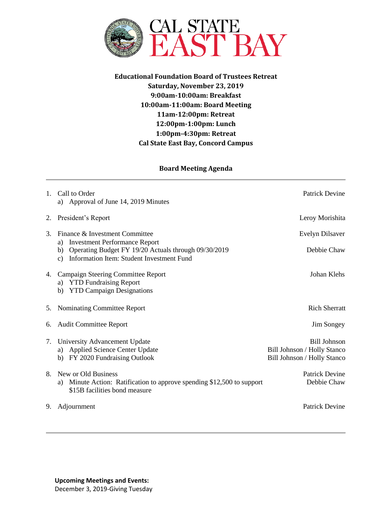

**Educational Foundation Board of Trustees Retreat Saturday, November 23, 2019 9:00am-10:00am: Breakfast 10:00am-11:00am: Board Meeting 11am-12:00pm: Retreat 12:00pm-1:00pm: Lunch 1:00pm-4:30pm: Retreat Cal State East Bay, Concord Campus**

## **Board Meeting Agenda**

| $1_{-}$ | Call to Order<br>a) Approval of June 14, 2019 Minutes                                                                                                                 | <b>Patrick Devine</b>                                                             |
|---------|-----------------------------------------------------------------------------------------------------------------------------------------------------------------------|-----------------------------------------------------------------------------------|
| 2.      | President's Report                                                                                                                                                    | Leroy Morishita                                                                   |
| 3.      | Finance & Investment Committee                                                                                                                                        | Evelyn Dilsaver                                                                   |
|         | <b>Investment Performance Report</b><br>a)<br>Operating Budget FY 19/20 Actuals through 09/30/2019<br>b)<br>Information Item: Student Investment Fund<br>$\mathbf{c}$ | Debbie Chaw                                                                       |
|         | 4. Campaign Steering Committee Report<br>a) YTD Fundraising Report<br><b>YTD Campaign Designations</b><br>b)                                                          | Johan Klehs                                                                       |
| 5.      | Nominating Committee Report                                                                                                                                           | <b>Rich Sherratt</b>                                                              |
| 6.      | <b>Audit Committee Report</b>                                                                                                                                         | Jim Songey                                                                        |
| 7.      | University Advancement Update<br><b>Applied Science Center Update</b><br>a)<br>b) FY 2020 Fundraising Outlook                                                         | <b>Bill Johnson</b><br>Bill Johnson / Holly Stanco<br>Bill Johnson / Holly Stanco |
| 8.      | New or Old Business<br>Minute Action: Ratification to approve spending \$12,500 to support<br>a)<br>\$15B facilities bond measure                                     | <b>Patrick Devine</b><br>Debbie Chaw                                              |
| 9.      | Adjournment                                                                                                                                                           | <b>Patrick Devine</b>                                                             |